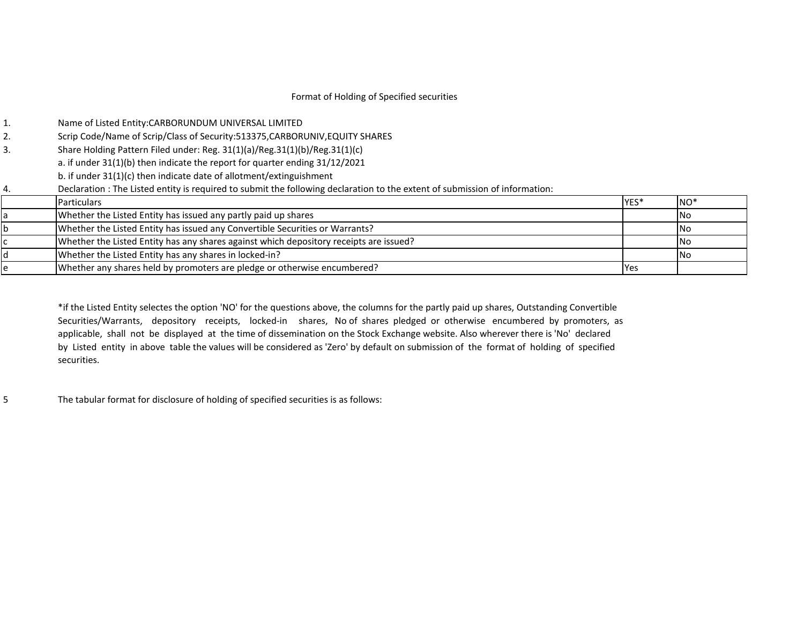# Format of Holding of Specified securities

|                                                                                                                                                                                                                                                                                                                                                                                                                                                                                                                                                                                                                                                                                                                                                                                                                                                                                                              | NO <sup>*</sup>    |
|--------------------------------------------------------------------------------------------------------------------------------------------------------------------------------------------------------------------------------------------------------------------------------------------------------------------------------------------------------------------------------------------------------------------------------------------------------------------------------------------------------------------------------------------------------------------------------------------------------------------------------------------------------------------------------------------------------------------------------------------------------------------------------------------------------------------------------------------------------------------------------------------------------------|--------------------|
|                                                                                                                                                                                                                                                                                                                                                                                                                                                                                                                                                                                                                                                                                                                                                                                                                                                                                                              | <b>INo</b>         |
|                                                                                                                                                                                                                                                                                                                                                                                                                                                                                                                                                                                                                                                                                                                                                                                                                                                                                                              | <b>No</b>          |
|                                                                                                                                                                                                                                                                                                                                                                                                                                                                                                                                                                                                                                                                                                                                                                                                                                                                                                              | <b>No</b>          |
|                                                                                                                                                                                                                                                                                                                                                                                                                                                                                                                                                                                                                                                                                                                                                                                                                                                                                                              | <b>No</b>          |
|                                                                                                                                                                                                                                                                                                                                                                                                                                                                                                                                                                                                                                                                                                                                                                                                                                                                                                              |                    |
| Name of Listed Entity:CARBORUNDUM UNIVERSAL LIMITED<br>Scrip Code/Name of Scrip/Class of Security:513375,CARBORUNIV,EQUITY SHARES<br>Share Holding Pattern Filed under: Reg. 31(1)(a)/Reg.31(1)(b)/Reg.31(1)(c)<br>a. if under 31(1)(b) then indicate the report for quarter ending 31/12/2021<br>b. if under 31(1)(c) then indicate date of allotment/extinguishment<br>Declaration : The Listed entity is required to submit the following declaration to the extent of submission of information:<br><b>Particulars</b><br>Whether the Listed Entity has issued any partly paid up shares<br>Whether the Listed Entity has issued any Convertible Securities or Warrants?<br>Whether the Listed Entity has any shares against which depository receipts are issued?<br>Whether the Listed Entity has any shares in locked-in?<br>Whether any shares held by promoters are pledge or otherwise encumbered? | YES*<br><b>Yes</b> |

\*if the Listed Entity selectes the option 'NO' for the questions above, the columns for the partly paid up shares, Outstanding Convertible Securities/Warrants, depository receipts, locked-in shares, No of shares pledged or otherwise encumbered by promoters, as applicable, shall not be displayed at the time of dissemination on the Stock Exchange website. Also wherever there is 'No' declared by Listed entity in above table the values will be considered as 'Zero' by default on submission of the format of holding of specified securities.

5 The tabular format for disclosure of holding of specified securities is as follows: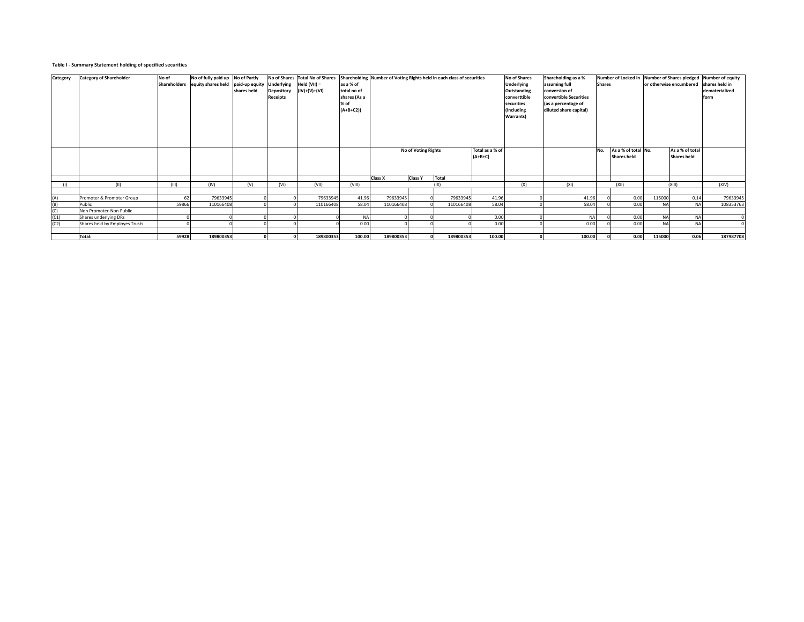## **Table I - Summary Statement holding of specified securities**

| Category | <b>Category of Shareholder</b> | No of | No of fully paid up No of Partly               |             |                   | No of Shares Total No of Shares Shareholding Number of Voting Rights held in each class of securities |              |                |                            |           |                 | No of Shares | Shareholding as a %    |               |                     |           |                         | Number of Locked in Number of Shares pledged Number of equity |
|----------|--------------------------------|-------|------------------------------------------------|-------------|-------------------|-------------------------------------------------------------------------------------------------------|--------------|----------------|----------------------------|-----------|-----------------|--------------|------------------------|---------------|---------------------|-----------|-------------------------|---------------------------------------------------------------|
|          |                                |       | Shareholders equity shares held paid-up equity |             | <b>Underlying</b> | Held $(VII) =$                                                                                        | as a % of    |                |                            |           |                 | Underlying   | assuming full          | <b>Shares</b> |                     |           | or otherwise encumbered | shares held in                                                |
|          |                                |       |                                                | shares held | <b>Depository</b> | $(IV)+(V)+(VI)$                                                                                       | total no of  |                |                            |           |                 | Outstanding  | conversion of          |               |                     |           |                         | dematerialized                                                |
|          |                                |       |                                                |             | <b>Receipts</b>   |                                                                                                       | shares (As a |                |                            |           |                 | converttible | convertible Securities |               |                     |           |                         | form                                                          |
|          |                                |       |                                                |             |                   |                                                                                                       | % of         |                |                            |           |                 | securities   | (as a percentage of    |               |                     |           |                         |                                                               |
|          |                                |       |                                                |             |                   |                                                                                                       | $(A+B+C2)$   |                |                            |           |                 | (Including   | diluted share capital) |               |                     |           |                         |                                                               |
|          |                                |       |                                                |             |                   |                                                                                                       |              |                |                            |           |                 | Warrants)    |                        |               |                     |           |                         |                                                               |
|          |                                |       |                                                |             |                   |                                                                                                       |              |                |                            |           |                 |              |                        |               |                     |           |                         |                                                               |
|          |                                |       |                                                |             |                   |                                                                                                       |              |                |                            |           |                 |              |                        |               |                     |           |                         |                                                               |
|          |                                |       |                                                |             |                   |                                                                                                       |              |                |                            |           |                 |              |                        |               |                     |           |                         |                                                               |
|          |                                |       |                                                |             |                   |                                                                                                       |              |                |                            |           |                 |              |                        |               |                     |           |                         |                                                               |
|          |                                |       |                                                |             |                   |                                                                                                       |              |                | <b>No of Voting Rights</b> |           | Total as a % of |              |                        | No.           | As a % of total No. |           | As a % of total         |                                                               |
|          |                                |       |                                                |             |                   |                                                                                                       |              |                |                            |           | $(A+B+C)$       |              |                        |               | <b>Shares held</b>  |           | <b>Shares held</b>      |                                                               |
|          |                                |       |                                                |             |                   |                                                                                                       |              |                |                            |           |                 |              |                        |               |                     |           |                         |                                                               |
|          |                                |       |                                                |             |                   |                                                                                                       |              |                |                            |           |                 |              |                        |               |                     |           |                         |                                                               |
|          |                                |       |                                                |             |                   |                                                                                                       |              | <b>Class X</b> | <b>Class Y</b>             | Total     |                 |              |                        |               |                     |           |                         |                                                               |
|          | (11)                           | (III) | (IV)                                           | (V)         | (VI)              | (VII)                                                                                                 | (VIII)       |                |                            | (IX)      |                 | (X)          | (XI)                   |               | (XII)               |           | (XIII)                  | (XIV)                                                         |
|          |                                |       |                                                |             |                   |                                                                                                       |              |                |                            |           |                 |              |                        |               |                     |           |                         |                                                               |
| (A)      | Promoter & Promoter Group      | 62    | 79633945                                       |             |                   | 79633945                                                                                              | 41.96        | 79633945       |                            | 79633945  | 41.96           |              | 41.96                  |               | 0.00                | 115000    | 0.14                    | 79633945                                                      |
| (B)      | Public                         | 59866 | 110166408                                      |             |                   | 110166408                                                                                             | 58.04        | 110166408      |                            | 110166408 | 58.04           |              | 58.04                  |               | 0.00                | <b>NA</b> | <b>NA</b>               | 108353763                                                     |
| (C)      | Non Promoter-Non Public        |       |                                                |             |                   |                                                                                                       |              |                |                            |           |                 |              |                        |               |                     |           |                         |                                                               |
| (C1)     | Shares underlying DRs          |       |                                                |             |                   |                                                                                                       | <b>NA</b>    |                |                            |           | 0.00            |              | <b>NA</b>              |               | 0.00                | <b>NA</b> | <b>NA</b>               |                                                               |
| (C2)     | Shares held by Employes Trusts |       |                                                |             |                   |                                                                                                       | 0.00         |                |                            |           | 0.00            |              | 0.00                   |               | 0.00                | <b>NA</b> | <b>NA</b>               |                                                               |
|          |                                |       |                                                |             |                   |                                                                                                       |              |                |                            |           |                 |              |                        |               |                     |           |                         |                                                               |
|          | Total:                         | 59928 | 189800353                                      |             |                   | 189800353                                                                                             | 100.00       | 189800353      |                            | 189800353 | 100.00          |              | 100.00                 |               | 0.00                | 115000    | 0.06                    | 187987708                                                     |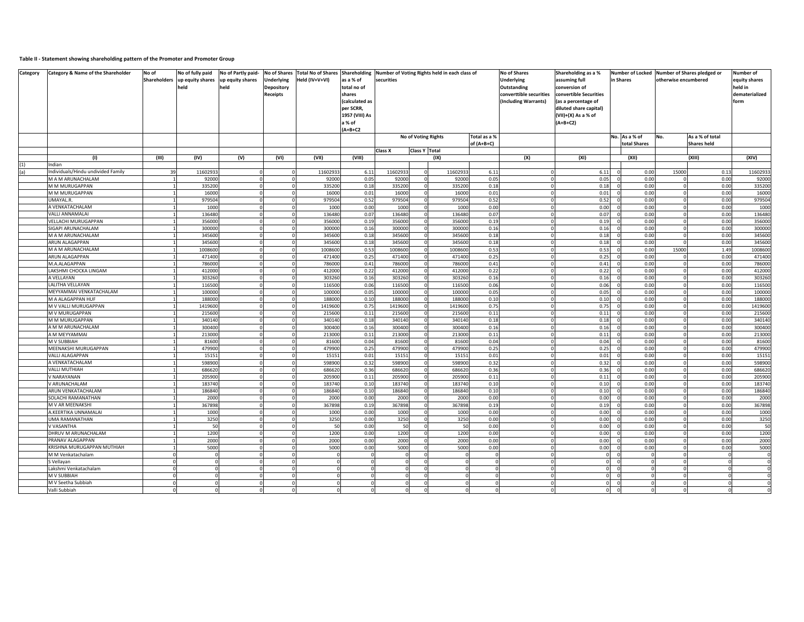## **Table II - Statement showing shareholding pattern of the Promoter and Promoter Group**

| Category | Category & Name of the Shareholder           | No of | No of fully paid<br>Shareholders up equity shares up equity shares<br>held | No of Partly paid-<br>held | <b>No of Shares</b><br><b>Underlying</b><br><b>Depository</b><br><b>Receipts</b> | <b>Total No of Shares Shareholding</b><br>Held (IV+V+VI) | as a % of<br>total no of<br>shares<br>(calculated as<br>per SCRR.<br>1957 (VIII) As<br>a % of | securities       |                      | Number of Voting Rights held in each class of |                            | <b>No of Shares</b><br><b>Underlying</b><br>Outstanding<br>converttible securities<br>(Including Warrants) | Shareholding as a %<br>assuming full<br>conversion of<br>convertible Securities<br>(as a percentage of<br>diluted share capital)<br>(VII)+(X) As a % of<br>$(A+B+C2)$ | <b>Number of Locked</b><br>in Shares | otherwise encumbered | Number of Shares pledged or           | Number of<br>equity shares<br>held in<br>dematerialized<br>form |
|----------|----------------------------------------------|-------|----------------------------------------------------------------------------|----------------------------|----------------------------------------------------------------------------------|----------------------------------------------------------|-----------------------------------------------------------------------------------------------|------------------|----------------------|-----------------------------------------------|----------------------------|------------------------------------------------------------------------------------------------------------|-----------------------------------------------------------------------------------------------------------------------------------------------------------------------|--------------------------------------|----------------------|---------------------------------------|-----------------------------------------------------------------|
|          |                                              |       |                                                                            |                            |                                                                                  |                                                          | $(A+B+C2$                                                                                     |                  |                      |                                               |                            |                                                                                                            |                                                                                                                                                                       |                                      |                      |                                       |                                                                 |
|          |                                              |       |                                                                            |                            |                                                                                  |                                                          |                                                                                               |                  |                      | No of Voting Rights                           | Total as a %<br>of (A+B+C) |                                                                                                            |                                                                                                                                                                       | No. As a % of<br>total Shares        | No.                  | As a % of total<br><b>Shares held</b> |                                                                 |
|          |                                              |       |                                                                            |                            |                                                                                  |                                                          |                                                                                               | Class X          | <b>Class Y Total</b> |                                               |                            |                                                                                                            |                                                                                                                                                                       |                                      |                      |                                       |                                                                 |
|          | (1)                                          | (III) | (IV)                                                                       | (V)                        | (VI)                                                                             | (VII)                                                    | (VIII)                                                                                        |                  |                      | (IX)                                          |                            | (X)                                                                                                        | (XI)                                                                                                                                                                  | (XII)                                |                      | (XIII)                                | (XIV)                                                           |
| (1)      | Indian                                       |       |                                                                            |                            |                                                                                  |                                                          |                                                                                               |                  |                      |                                               |                            |                                                                                                            |                                                                                                                                                                       |                                      |                      |                                       |                                                                 |
| (a)      | ndividuals/Hindu undivided Family            | 39    | 1160293                                                                    |                            |                                                                                  | 1160293                                                  | 6.11                                                                                          | 1160293          |                      | 1160293                                       | 6.11                       |                                                                                                            | 6.11                                                                                                                                                                  | 0.00                                 | 15000                | 0.13                                  | 1160293                                                         |
|          | M A M ARUNACHALAM                            |       | 92000                                                                      |                            |                                                                                  | 92000                                                    | 0.05                                                                                          | 92000            |                      | 92000                                         | 0.05                       |                                                                                                            | 0.05                                                                                                                                                                  | 0.00                                 |                      | 0.00                                  | 92000                                                           |
|          | M M MURUGAPPAN                               |       | 33520                                                                      |                            |                                                                                  | 335200                                                   | 0.18                                                                                          | 335200           |                      | 335200                                        | 0.18                       |                                                                                                            | 0.18                                                                                                                                                                  | 0.00                                 |                      | 0.00                                  | 335200                                                          |
|          | M M MURUGAPPAN<br>JMAYAL.R.                  |       | 16000<br>97950                                                             | O                          |                                                                                  | 16000<br>97950                                           | 0.01<br>0.52                                                                                  | 16000<br>979504  |                      | 16000<br>979504                               | 0.01<br>0.52               |                                                                                                            | 0.01<br>0.52                                                                                                                                                          | 0.00<br>0.00                         |                      | 0.00<br>0.00                          | 16000<br>979504                                                 |
|          | <b>NVENKATACHALAM</b>                        |       | 1000                                                                       |                            |                                                                                  | 1000                                                     | 0.00                                                                                          | 1000             |                      | 1000                                          | 0.00                       |                                                                                                            | 0.00                                                                                                                                                                  | 0.00                                 |                      | 0.00                                  | 1000                                                            |
|          | VALLI ANNAMALAI                              |       | 136480                                                                     |                            |                                                                                  | 136480                                                   | 0.07                                                                                          | 136480           |                      | 136480                                        | 0.07                       |                                                                                                            | 0.07                                                                                                                                                                  | 0.00                                 |                      | 0.00                                  | 136480                                                          |
|          | <b>/ELLACHI MURUGAPPAN</b>                   |       | 35600                                                                      |                            |                                                                                  | 356000                                                   | 0.19                                                                                          | 356000           |                      | 356000                                        | 0.19                       |                                                                                                            | 0.19                                                                                                                                                                  | 0.00                                 |                      | 0.00                                  | 356000                                                          |
|          | SIGAPI ARUNACHALAM                           |       | 30000                                                                      |                            |                                                                                  | 300000                                                   | 0.16                                                                                          | 300000           |                      | 300000                                        | 0.16                       |                                                                                                            | 0.16                                                                                                                                                                  | 0.00                                 |                      | 0.00                                  | 300000                                                          |
|          | M A M ARUNACHALAM                            |       | 34560                                                                      |                            |                                                                                  | 345600                                                   | 0.18                                                                                          | 345600           |                      | 345600                                        | 0.18                       |                                                                                                            | 0.18                                                                                                                                                                  | 0.00                                 |                      | 0.00                                  | 345600                                                          |
|          | ARUN ALAGAPPAN                               |       | 34560                                                                      |                            |                                                                                  | 345600                                                   | 0.18                                                                                          | 345600           |                      | 345600                                        | 0.18                       |                                                                                                            | 0.18                                                                                                                                                                  | 0.00                                 |                      | 0.00                                  | 345600                                                          |
|          | M A M ARUNACHALAM                            |       | 100860                                                                     |                            |                                                                                  | 1008600                                                  | 0.53                                                                                          | 1008600          |                      | 1008600                                       | 0.53                       |                                                                                                            | 0.53                                                                                                                                                                  | 0.00                                 | 15000                | 1.49                                  | 1008600                                                         |
|          | ARUN ALAGAPPAN                               |       | 47140                                                                      | $\Omega$                   |                                                                                  | 471400                                                   | 0.25                                                                                          | 471400           |                      | 471400                                        | 0.25                       |                                                                                                            | 0.25                                                                                                                                                                  | 0.00                                 |                      | 0.00                                  | 471400                                                          |
|          | M.A.ALAGAPPAN                                |       | 786000                                                                     |                            |                                                                                  | 786000                                                   | 0.41                                                                                          | 786000           |                      | 786000                                        | 0.41                       |                                                                                                            | 0.41                                                                                                                                                                  | 0.00                                 |                      | 0.00                                  | 786000                                                          |
|          | LAKSHMI CHOCKA LINGAM                        |       | 412000                                                                     | $\Omega$                   |                                                                                  | 412000                                                   | 0.22                                                                                          | 412000           | $\Omega$             | 412000                                        | 0.22                       |                                                                                                            | 0.22                                                                                                                                                                  | 0.00                                 |                      | 0.00                                  | 412000                                                          |
|          | A VELLAYAN                                   |       | 30326                                                                      |                            |                                                                                  | 303260                                                   | 0.16                                                                                          | 303260           |                      | 303260                                        | 0.16                       |                                                                                                            | 0.16                                                                                                                                                                  | 0.00                                 |                      | 0.00                                  | 303260                                                          |
|          | LALITHA VELLAYAN                             |       | 11650                                                                      |                            |                                                                                  | 116500                                                   | 0.06                                                                                          | 116500           |                      | 116500                                        | 0.06                       |                                                                                                            | 0.06                                                                                                                                                                  | 0.00                                 |                      | 0.00                                  | 116500                                                          |
|          | MEYYAMMAI VENKATACHALAM<br>M A ALAGAPPAN HUF |       | 10000<br>18800                                                             | $\Omega$                   |                                                                                  | 100000<br>188000                                         | 0.05<br>0.10                                                                                  | 100000<br>188000 |                      | 100000<br>188000                              | 0.05<br>0.10               |                                                                                                            | 0.05<br>0.10                                                                                                                                                          | 0.00<br>0.00                         |                      | 0.00<br>0.00                          | 100000<br>188000                                                |
|          | M V VALLI MURUGAPPAN                         |       | 1419600                                                                    | $\Omega$                   |                                                                                  | 1419600                                                  | 0.75                                                                                          | 1419600          |                      | 1419600                                       | 0.75                       |                                                                                                            | 0.75                                                                                                                                                                  | 0.00                                 |                      | 0.00                                  | 1419600                                                         |
|          | M V MURUGAPPAN                               |       | 215600                                                                     | $\Omega$                   |                                                                                  | 215600                                                   | 0.11                                                                                          | 215600           | $\Omega$             | 215600                                        | 0.11                       |                                                                                                            | 0.11                                                                                                                                                                  | 0.00                                 |                      | 0.00                                  | 215600                                                          |
|          | M M MURUGAPPAN                               |       | 340140                                                                     | $\Omega$                   |                                                                                  | 340140                                                   | 0.18                                                                                          | 340140           |                      | 340140                                        | 0.18                       |                                                                                                            | 0.18                                                                                                                                                                  | 0.00                                 |                      | 0.00                                  | 340140                                                          |
|          | A M M ARUNACHALAM                            |       | 300400                                                                     | $\circ$                    |                                                                                  | 300400                                                   | 0.16                                                                                          | 300400           | $\Omega$             | 300400                                        | 0.16                       |                                                                                                            | 0.16                                                                                                                                                                  | 0.00                                 |                      | 0.00                                  | 300400                                                          |
|          | A M MEYYAMMAI                                |       | 213000                                                                     | $\Omega$                   |                                                                                  | 213000                                                   | 0.11                                                                                          | 213000           | $\Omega$             | 213000                                        | 0.11                       |                                                                                                            | 0.11                                                                                                                                                                  | 0.00                                 |                      | 0.00                                  | 213000                                                          |
|          | M V SUBBIAH                                  |       | 81600                                                                      | $\Omega$                   |                                                                                  | 81600                                                    | 0.04                                                                                          | 81600            | $\Omega$             | 81600                                         | 0.04                       |                                                                                                            | 0.04                                                                                                                                                                  | 0.00                                 |                      | 0.00                                  | 81600                                                           |
|          | MEENAKSHI MURUGAPPAN                         |       | 47990                                                                      | $\Omega$                   |                                                                                  | 479900                                                   | 0.25                                                                                          | 479900           |                      | 479900                                        | 0.25                       |                                                                                                            | 0.25                                                                                                                                                                  | 0.00                                 |                      | 0.00                                  | 479900                                                          |
|          | <b>VALLI ALAGAPPAN</b>                       |       | 15151                                                                      | $\circ$                    |                                                                                  | 1515                                                     | 0.01                                                                                          | 15151            | $\Omega$             | 15151                                         | 0.01                       |                                                                                                            | 0.01                                                                                                                                                                  | 0.00                                 |                      | 0.00                                  | 15151                                                           |
|          | A VENKATACHALAM                              |       | 59890                                                                      | $\Omega$                   |                                                                                  | 598900                                                   | 0.32                                                                                          | 598900           | $\Omega$             | 598900                                        | 0.32                       |                                                                                                            | 0.32                                                                                                                                                                  | 0.00                                 |                      | 0.00                                  | 598900                                                          |
|          | VALLI MUTHIAH                                |       | 68662                                                                      | $\Omega$                   |                                                                                  | 68662                                                    | 0.36                                                                                          | 686620           | $\Omega$             | 686620                                        | 0.36                       |                                                                                                            | 0.36                                                                                                                                                                  | 0.00                                 |                      | 0.00                                  | 686620                                                          |
|          | / NARAYANAN                                  |       | 205900                                                                     | $\Omega$                   |                                                                                  | 205900                                                   | 0.11                                                                                          | 205900           |                      | 205900                                        | 0.11                       |                                                                                                            | 0.11                                                                                                                                                                  | 0.00                                 |                      | 0.00                                  | 205900                                                          |
|          | V ARUNACHALAM                                |       | 183740                                                                     | $\circ$                    |                                                                                  | 183740                                                   | 0.10                                                                                          | 183740           | $\Omega$             | 183740                                        | 0.10                       |                                                                                                            | 0.10                                                                                                                                                                  | 0.00                                 |                      | 0.00                                  | 183740                                                          |
|          | ARUN VENKATACHALAM                           |       | 186840                                                                     | $\Omega$                   |                                                                                  | 186840                                                   | 0.10                                                                                          | 186840           | $\Omega$             | 186840                                        | 0.10                       |                                                                                                            | 0.10                                                                                                                                                                  | 0.00                                 |                      | 0.00                                  | 186840                                                          |
|          | SOLACHI RAMANATHAN<br>M V AR MEENAKSHI       |       | 2000<br>367898                                                             | $\Omega$<br>$\Omega$       |                                                                                  | 2000                                                     | 0.00                                                                                          | 2000             | $\Omega$             | 2000                                          | 0.00<br>0.19               |                                                                                                            | 0.00                                                                                                                                                                  | 0.00                                 |                      | 0.00                                  | 2000                                                            |
|          | A.KEERTIKA UNNAMALAI                         |       | 1000                                                                       | $\mathbf 0$                |                                                                                  | 367898<br>1000                                           | 0.19<br>0.00                                                                                  | 367898<br>1000   | $\Omega$             | 367898<br>1000                                | 0.00                       |                                                                                                            | 0.19<br>0.00                                                                                                                                                          | 0.00<br>0.00                         |                      | 0.00<br>0.00                          | 367898<br>1000                                                  |
|          | UMA RAMANATHAN                               |       | 3250                                                                       | $\Omega$                   |                                                                                  | 3250                                                     | 0.00                                                                                          | 3250             |                      | 3250                                          | 0.00                       |                                                                                                            | 0.00                                                                                                                                                                  | 0.00                                 |                      | 0.00                                  | 3250                                                            |
|          | V VASANTHA                                   |       | 50                                                                         | $\Omega$                   |                                                                                  | 50                                                       | 0.00                                                                                          | 50               |                      | 50                                            | 0.00                       |                                                                                                            | 0.00                                                                                                                                                                  | 0.00                                 |                      | 0.00                                  | 50                                                              |
|          | <b>DHRUV M ARUNACHALAM</b>                   |       | 1200                                                                       |                            |                                                                                  | 1200                                                     | 0.00                                                                                          | 1200             |                      | 1200                                          | 0.00                       |                                                                                                            | 0.00                                                                                                                                                                  | 0.00                                 |                      | 0.00                                  | 1200                                                            |
|          | PRANAV ALAGAPPAN                             |       | 2000                                                                       | $\Omega$                   |                                                                                  | 2000                                                     | 0.00                                                                                          | 2000             |                      | 2000                                          | 0.00                       |                                                                                                            | 0.00                                                                                                                                                                  | 0.00                                 |                      | 0.00                                  | 2000                                                            |
|          | KRISHNA MURUGAPPAN MUTHIAH                   |       | 5000                                                                       |                            |                                                                                  | 5000                                                     | 0.00                                                                                          | 5000             |                      | 5000                                          | 0.00                       |                                                                                                            | 0.00                                                                                                                                                                  | 0.00                                 |                      | 0.00                                  | 5000                                                            |
|          | M M Venkatachalam                            |       |                                                                            | $\Omega$                   |                                                                                  |                                                          | $\Omega$                                                                                      | $\Omega$         | $\Omega$             |                                               | $\mathbf 0$                |                                                                                                            | $\circ$                                                                                                                                                               | $\Omega$                             |                      | $\overline{0}$                        | $\mathbf 0$                                                     |
|          | S Vellayan                                   |       |                                                                            |                            |                                                                                  |                                                          |                                                                                               | $\Omega$         |                      |                                               | $\Omega$                   |                                                                                                            | $\Omega$                                                                                                                                                              |                                      |                      | $\Omega$                              | ō                                                               |
|          | Lakshmi Venkatachalam                        |       |                                                                            | $\Omega$                   |                                                                                  |                                                          |                                                                                               |                  | $\Omega$             |                                               | $\mathbf 0$                |                                                                                                            | $\Omega$                                                                                                                                                              |                                      |                      | $\Omega$                              | $\mathsf{o}$                                                    |
|          | M V SUBBIAH                                  |       |                                                                            |                            |                                                                                  |                                                          |                                                                                               |                  |                      |                                               |                            |                                                                                                            |                                                                                                                                                                       |                                      |                      |                                       | ō                                                               |
|          | M V Seetha Subbiah                           |       |                                                                            |                            |                                                                                  |                                                          |                                                                                               |                  | $\Omega$             |                                               |                            |                                                                                                            | $\Omega$                                                                                                                                                              |                                      |                      |                                       | $\Omega$                                                        |
|          | Valli Subbiah                                |       |                                                                            |                            |                                                                                  |                                                          |                                                                                               |                  |                      |                                               |                            |                                                                                                            | $\Omega$                                                                                                                                                              |                                      |                      |                                       |                                                                 |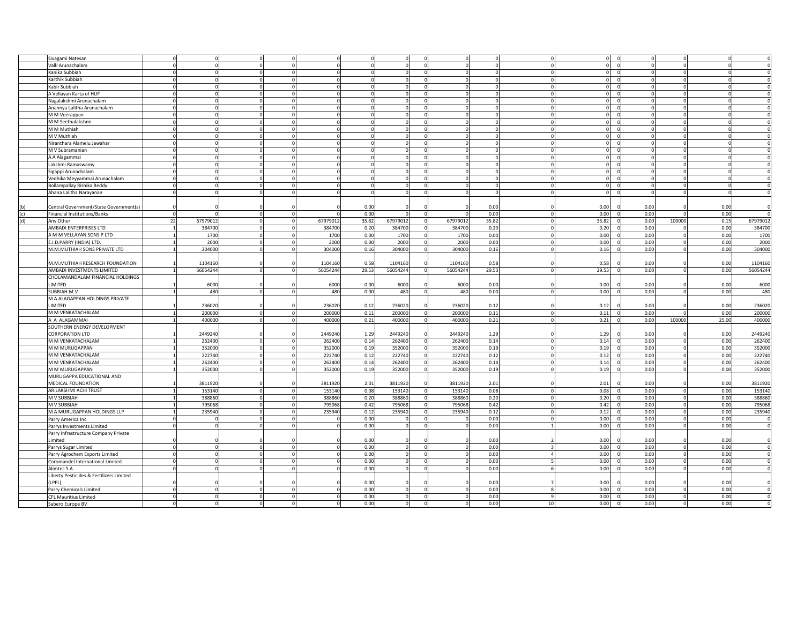|     | Sivagami Natesan                         |                |          |          |       |          |             |          |       |                             |                  |        |       |          |
|-----|------------------------------------------|----------------|----------|----------|-------|----------|-------------|----------|-------|-----------------------------|------------------|--------|-------|----------|
|     | Valli Arunachalam                        |                |          |          |       | $\Omega$ | $\Omega$    |          |       | $\circ$                     | $\Omega$         |        |       |          |
|     | Kanika Subbiah                           |                |          |          |       |          |             |          |       | $\Omega$                    |                  |        |       |          |
|     | Karthik Subbiah                          |                |          |          |       |          |             |          |       | 0                           |                  |        |       |          |
|     |                                          |                |          |          |       |          |             |          |       | $\Omega$                    |                  |        |       |          |
|     | Kabir Subbiah                            |                |          |          |       |          | $\Omega$    |          |       | $\circ$                     |                  |        |       |          |
|     | A Vellayan Karta of HUF                  |                |          |          |       |          |             |          |       | $\Omega$                    |                  |        |       |          |
|     | Nagalakshmi Arunachalam                  |                |          |          |       |          |             |          |       | $\mathbf 0$                 |                  |        |       |          |
|     | Anannya Lalitha Arunachalam              |                |          |          |       | $\Omega$ | $\Omega$    |          |       | $\circ$                     |                  |        |       |          |
|     | M M Veerappan                            |                |          |          |       |          |             |          |       | $\Omega$                    |                  |        |       |          |
|     |                                          |                |          |          |       |          |             |          |       |                             |                  |        |       |          |
|     | M M Seethalakshmi                        |                |          |          |       |          |             |          |       | 0                           |                  |        |       |          |
|     | M M Muthiah                              |                |          |          |       | $\Omega$ | $\Omega$    |          |       | $\mathbf 0$<br>$\mathsf{C}$ |                  |        |       |          |
|     | M V Muthiah                              |                |          |          |       |          |             |          |       | $\Omega$                    |                  |        |       |          |
|     | Niranthara Alamelu Jawahar               |                |          |          |       |          |             |          |       | $\Omega$                    |                  |        |       |          |
|     | M V Subramanian                          |                |          |          |       | $\Omega$ | $\Omega$    |          |       | $\Omega$                    |                  |        |       |          |
|     |                                          |                |          |          |       |          |             |          |       |                             |                  |        |       |          |
|     | A A Alagammai                            |                |          |          |       |          |             |          |       | $\Omega$                    |                  |        |       |          |
|     | Lakshmi Ramaswamy                        |                |          |          |       |          |             |          |       | O                           |                  |        |       |          |
|     | Sigappi Arunachalam                      |                |          |          |       |          |             |          |       | $\Omega$                    |                  |        |       |          |
|     | Vedhika Meyyammai Arunachalam            |                |          |          |       |          |             |          |       | $\Omega$                    |                  |        |       |          |
|     |                                          |                |          |          |       |          |             |          |       | $\Omega$                    |                  |        |       |          |
|     | Bollampallay Rishika Reddy               |                |          |          |       |          |             |          |       |                             |                  |        |       |          |
|     | Ahana Lalitha Narayanan                  |                |          |          |       | $\Omega$ |             |          |       | $\Omega$                    |                  |        |       |          |
|     |                                          |                |          |          |       |          |             |          |       |                             |                  |        |       |          |
| (b) | Central Government/State Government(s)   |                |          |          | 0.00  |          |             |          | 0.00  | 0.00                        | 0.00             |        | 0.00  |          |
| (c) | <b>Financial Institutions/Banks</b>      |                |          |          | 0.00  | $\Omega$ | $\Omega$    |          | 0.00  | 0.00                        | 0.00             |        | 0.00  |          |
|     |                                          |                |          |          |       |          |             |          |       |                             |                  |        |       |          |
| (d) | Any Other                                | 67979012<br>22 |          | 67979012 | 35.82 | 67979012 |             | 6797901  | 35.82 | 35.82                       | 0.00             | 100000 | 0.15  | 67979012 |
|     | AMBADI ENTERPRISES LTD                   | 384700         |          | 384700   | 0.20  | 384700   |             | 384700   | 0.20  | 0.20                        | 0.00             |        | 0.00  | 384700   |
|     | A M M VELLAYAN SONS P LTD                | 1700           |          | 1700     | 0.00  | 1700     |             | 1700     | 0.00  | 0.00                        | 0.00             |        | 0.00  | 1700     |
|     | E.I.D.PARRY (INDIA) LTD.                 | 2000           |          | 2000     | 0.00  | 2000     |             | 2000     | 0.00  | 0.00                        | 0.00             |        | 0.00  | 2000     |
|     |                                          |                |          |          |       |          |             |          |       |                             |                  |        |       |          |
|     | M.M.MUTHIAH SONS PRIVATE LTD             | 304000         |          | 304000   | 0.16  | 304000   |             | 304000   | 0.16  | 0.16                        | 0.00             |        | 0.00  | 304000   |
|     |                                          |                |          |          |       |          |             |          |       |                             |                  |        |       |          |
|     | M.M.MUTHIAH RESEARCH FOUNDATION          | 1104160        |          | 1104160  | 0.58  | 1104160  |             | 1104160  | 0.58  | 0.58                        | 0.00             |        | 0.00  | 1104160  |
|     | AMBADI INVESTMENTS LIMITED               | 56054244       |          | 56054244 | 29.53 | 56054244 |             | 56054244 | 29.53 | 29.53                       | 0.00             |        | 0.00  | 56054244 |
|     | CHOLAMANDALAM FINANCIAL HOLDINGS         |                |          |          |       |          |             |          |       |                             |                  |        |       |          |
|     | LIMITED                                  | 6000           |          |          |       |          |             |          |       |                             | 0.00             |        |       |          |
|     |                                          |                |          | 6000     | 0.00  | 6000     |             | 6000     | 0.00  | 0.00                        |                  |        | 0.00  | 6000     |
|     | SUBBIAH.M.V                              | 480            |          | 480      | 0.00  | 480      |             | 480      | 0.00  | 0.00                        | 0.00             |        | 0.00  | 480      |
|     | M A ALAGAPPAN HOLDINGS PRIVATE           |                |          |          |       |          |             |          |       |                             |                  |        |       |          |
|     | LIMITED                                  | 236020         |          | 236020   | 0.12  | 236020   |             | 236020   | 0.12  | 0.12                        | 0.00             |        | 0.00  | 236020   |
|     | M M VENKATACHALAM                        | 200000         | $\Omega$ | 200000   | 0.11  | 200000   | $\Omega$    | 200000   | 0.11  | 0.11                        | 0.00             |        | 0.00  | 200000   |
|     |                                          |                |          |          |       |          |             |          |       |                             |                  |        |       |          |
|     | A A ALAGAMMAI                            | 400000         |          | 400000   | 0.21  | 400000   |             | 400000   | 0.21  | 0.21                        | 0.00             | 100000 | 25.00 | 400000   |
|     | SOUTHERN ENERGY DEVELOPMENT              |                |          |          |       |          |             |          |       |                             |                  |        |       |          |
|     | CORPORATION LTD                          | 2449240        |          | 2449240  | 1.29  | 2449240  |             | 2449240  | 1.29  | 1.29                        | 0.00             |        | 0.00  | 2449240  |
|     | M M VENKATACHALAM                        | 262400         |          | 262400   | 0.14  | 262400   | $\mathbf 0$ | 262400   | 0.14  | 0.14                        | 0.00             |        | 0.00  | 262400   |
|     |                                          |                |          |          |       |          |             |          |       |                             |                  |        |       |          |
|     | M M MURUGAPPAN                           | 352000         |          | 352000   | 0.19  | 352000   | $\Omega$    | 35200    | 0.19  | 0.19                        | 0.00             |        | 0.00  | 352000   |
|     | M M VENKATACHALAM                        | 222740         |          | 222740   | 0.12  | 222740   | $\mathbf 0$ | 222740   | 0.12  | 0.12                        | 0.00             |        | 0.00  | 222740   |
|     | M M VENKATACHALAM                        | 262400         |          | 262400   | 0.14  | 262400   | $\Omega$    | 262400   | 0.14  | 0.14                        | 0.00             |        | 0.00  | 262400   |
|     | M M MURUGAPPAN                           | 352000         |          | 352000   | 0.19  | 352000   |             | 352000   | 0.19  | 0.19                        | 0.00             |        | 0.00  | 352000   |
|     | MURUGAPPA EDUCATIONAL AND                |                |          |          |       |          |             |          |       |                             |                  |        |       |          |
|     |                                          |                |          |          |       |          |             |          |       |                             |                  |        |       |          |
|     | MEDICAL FOUNDATION                       | 3811920        |          | 3811920  | 2.01  | 3811920  |             | 3811920  | 2.01  | 2.01                        | 0.00             |        | 0.00  | 3811920  |
|     | AR.LAKSHMI ACHI TRUST                    | 153140         |          | 153140   | 0.08  | 153140   | $\Omega$    | 153140   | 0.08  | 0.08                        | 0.00             |        | 0.00  | 153140   |
|     | M V SUBBIAH                              | 388860         |          | 388860   | 0.20  | 38886    |             | 38886    | 0.20  | 0.20                        | 0.00             |        | 0.00  | 388860   |
|     | M V SUBBIAH                              | 795068         |          | 795068   | 0.42  | 795068   |             | 795068   | 0.42  | 0.42                        | 0.00             |        | 0.00  | 795068   |
|     | M A MURUGAPPAN HOLDINGS LLP              | 235940         |          | 235940   | 0.12  | 235940   | $\Omega$    | 23594    | 0.12  | 0.12                        | 0.00             |        | 0.00  | 235940   |
|     |                                          |                |          |          |       |          |             |          |       |                             |                  |        |       |          |
|     | Parry America Inc                        |                |          |          | 0.00  |          |             |          | 0.00  | 0.00                        | 0.00             |        | 0.00  |          |
|     | Parrys Investments Limited               |                |          |          | 0.00  | $\Omega$ | $\Omega$    |          | 0.00  | 0.00                        | 0.00             |        | 0.00  |          |
|     | Parry Infrastructure Company Private     |                |          |          |       |          |             |          |       |                             |                  |        |       |          |
|     | Limited                                  |                |          |          | 0.00  |          |             |          | 0.00  | 0.00                        | 0.00             |        | 0.00  |          |
|     |                                          |                |          |          |       |          |             |          |       |                             |                  |        |       |          |
|     | Parrys Sugar Limited                     |                |          |          | 0.00  |          |             |          | 0.00  | 0.00                        | 0.00             |        | 0.00  |          |
|     | Parry Agrochem Exports Limited           |                |          |          | 0.00  | $\Omega$ | $\Omega$    |          | 0.00  | 0.00                        | 0.00             |        | 0.00  |          |
|     | Coromandel International Limited         |                |          |          | 0.00  | $\Omega$ | $\Omega$    |          | 0.00  | 0.00                        | 0.00             |        | 0.00  |          |
|     | Alimtec S.A.                             |                |          |          | 0.00  | $\Omega$ |             |          | 0.00  | 0.00                        | 0.00             |        | 0.00  |          |
|     |                                          |                |          |          |       |          |             |          |       |                             |                  |        |       |          |
|     | Liberty Pesticides & Fertilizers Limited |                |          |          |       |          |             |          |       |                             |                  |        |       |          |
|     | LPFL)                                    |                |          |          | 0.00  |          |             |          | 0.00  | 0.00                        | 0.00             |        | 0.00  |          |
|     | Parry Chemicals Limited                  |                |          |          | 0.00  | $\Omega$ | n           |          | 0.00  | 0.00                        | 0.00             |        | 0.00  |          |
|     | <b>CFL Mauritius Limited</b>             |                |          |          | 0.00  | $\circ$  | $\Omega$    |          | 0.00  | 0.00                        | 0.00<br>$\Omega$ |        | 0.00  |          |
|     | Sabero Europe BV                         |                |          |          | 0.00  | $\Omega$ |             |          | 0.00  | 0.00                        | 0.00             |        | 0.00  |          |
|     |                                          |                |          |          |       |          |             |          |       |                             |                  |        |       |          |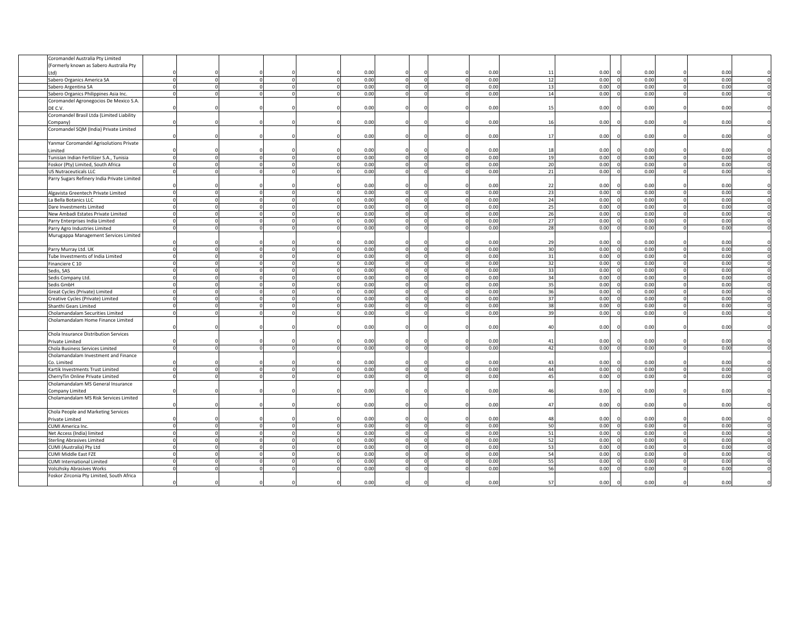| Coromandel Australia Pty Limited            |             |      |                      |                     |                |      |                  |                  |
|---------------------------------------------|-------------|------|----------------------|---------------------|----------------|------|------------------|------------------|
| (Formerly known as Sabero Australia Pty     |             |      |                      |                     |                |      |                  |                  |
| Ltd)                                        |             | 0.00 |                      | 0.00                | 11             | 0.00 | 0.00             | 0.00             |
| Sabero Organics America SA                  | $\Omega$    | 0.00 | $\Omega$<br>$\Omega$ | 0.00<br>$\Omega$    | 12             | 0.00 | 0.00             | 0.00             |
| Sabero Argentina SA                         | $\Omega$    | 0.00 |                      | 0.00<br>$\Omega$    | 1 <sup>5</sup> | 0.00 | 0.00             | 0.00             |
| Sabero Organics Philippines Asia Inc.       | $\mathbf 0$ | 0.00 | $\Omega$             | 0.00<br>$\mathbf 0$ | 14             | 0.00 | 0.00             | 0.00             |
| Coromandel Agronegocios De Mexico S.A.      |             |      |                      |                     |                |      |                  |                  |
| DE C.V.                                     |             | 0.00 |                      | 0.00                | 15             | 0.00 | 0.00             | 0.00             |
| Coromandel Brasil Ltda (Limited Liability   |             |      |                      |                     |                |      |                  |                  |
|                                             |             | 0.00 |                      | 0.00                | 1              | 0.00 | 0.00             | 0.00             |
| Company)                                    |             |      |                      |                     |                |      |                  |                  |
| Coromandel SQM (India) Private Limited      |             |      |                      |                     |                |      |                  |                  |
|                                             |             | 0.00 |                      | 0.00                | $\mathbf{1}$   | 0.00 | 0.00             | 0.00             |
| Yanmar Coromandel Agrisolutions Private     |             |      |                      |                     |                |      |                  |                  |
| Limited                                     |             | 0.00 |                      | 0.00                | 18             | 0.00 | 0.00             | 0.00             |
| Tunisian Indian Fertilizer S.A., Tunisia    |             | 0.00 | $\Omega$             | 0.00<br>$\Omega$    | 19             | 0.00 | 0.00             | 0.00             |
| Foskor (Pty) Limited, South Africa          |             | 0.00 |                      | 0.00                | 2 <sup>0</sup> | 0.00 | 0.00             | 0.00             |
| <b>US Nutraceuticals LLC</b>                |             | 0.00 |                      | 0.00<br>$\Omega$    | 21             | 0.00 | 0.00             | 0.00             |
| Parry Sugars Refinery India Private Limited |             |      |                      |                     |                |      |                  |                  |
|                                             |             | 0.00 |                      | 0.00                | -22            | 0.00 | 0.00             | 0.00             |
| Algavista Greentech Private Limited         |             | 0.00 | $\Omega$             | 0.00<br>$\Omega$    | 23             | 0.00 | 0.00             | 0.00             |
| La Bella Botanics LLC                       |             | 0.00 | $\Omega$             | 0.00<br>n           | 24             | 0.00 | 0.00             | 0.00             |
| Dare Investments Limited                    | $\Omega$    | 0.00 | $\Omega$             | 0.00<br>$\Omega$    | 25             | 0.00 | 0.00             | 0.00             |
| New Ambadi Estates Private Limited          |             | 0.00 |                      | 0.00<br>$\Omega$    | 26             | 0.00 | 0.00             | 0.00             |
|                                             |             | 0.00 | $\Omega$             | 0.00<br>$\Omega$    | 27             | 0.00 | 0.00             | 0.00             |
| Parry Enterprises India Limited             |             |      | $\Omega$             |                     |                |      |                  |                  |
| Parry Agro Industries Limited               |             | 0.00 |                      | 0.00                | 28             | 0.00 | 0.00             | 0.00             |
| Murugappa Management Services Limited       |             |      |                      |                     |                |      |                  |                  |
|                                             |             | 0.00 |                      | 0.00                | 29             | 0.00 | 0.00             | 0.00             |
| Parry Murray Ltd. UK                        |             | 0.00 | $\Omega$             | 0.00<br>$\Omega$    | 30             | 0.00 | 0.00             | 0.00             |
| Tube Investments of India Limited           | $\Omega$    | 0.00 | $\Omega$             | 0.00<br>$\Omega$    | 31             | 0.00 | 0.00             | 0.00             |
| Financiere C 10                             |             | 0.00 |                      | 0.00<br>$\Omega$    | 32             | 0.00 | 0.00             | 0.00             |
| Sedis, SAS                                  | $\Omega$    | 0.00 | $\Omega$<br>$\Omega$ | 0.00<br>$\mathbf 0$ | 33             | 0.00 | 0.00             | 0.00<br>$\Omega$ |
| Sedis Company Ltd.                          |             | 0.00 |                      | 0.00<br>$\mathbf 0$ | 34             | 0.00 | 0.00             | 0.00             |
| Sedis GmbH                                  |             | 0.00 | $\Omega$             | 0.00<br>0           | 35             | 0.00 | 0.00             | 0.00             |
| Great Cycles (Private) Limited              |             | 0.00 |                      | 0.00                | $\overline{3}$ | 0.00 | 0.00             | 0.00             |
| Creative Cycles (Private) Limited           |             | 0.00 |                      | 0.00                | 37             | 0.00 | 0.00             | 0.00             |
| Shanthi Gears Limited                       |             | 0.00 | $\Omega$             | 0.00                | 35             | 0.00 | 0.00             | 0.00             |
| Cholamandalam Securities Limited            |             | 0.00 |                      | 0.00                | 3 <sup>0</sup> | 0.00 | 0.00             | 0.00             |
| Cholamandalam Home Finance Limited          |             |      |                      |                     |                |      |                  |                  |
|                                             |             |      |                      |                     | $\overline{a}$ |      |                  | 0.00             |
|                                             |             | 0.00 |                      | 0.00                |                | 0.00 | 0.00             |                  |
| Chola Insurance Distribution Services       |             |      |                      |                     |                |      |                  |                  |
| Private Limited                             |             | 0.00 |                      | 0.00                | $\overline{4}$ | 0.00 | 0.00             | 0.00             |
| Chola Business Services Limited             |             | 0.00 |                      | 0.00                | $\Delta$       | 0.00 | 0.00             | 0.00             |
| Cholamandalam Investment and Finance        |             |      |                      |                     |                |      |                  |                  |
| Co. Limited                                 |             | 0.00 |                      | 0.00                | $\mathbf{A}$   | 0.00 | 0.00             | 0.00             |
| Kartik Investments Trust Limited            | $\Omega$    | 0.00 | $\Omega$             | 0.00<br>$\Omega$    | 44             | 0.00 | 0.00             | 0.00             |
| CherryTin Online Private Limited            |             | 0.00 |                      | 0.00                | 4 <sup>c</sup> | 0.00 | 0.00             | 0.00             |
| Cholamandalam MS General Insurance          |             |      |                      |                     |                |      |                  |                  |
| Company Limited                             |             | 0.00 |                      | 0.00                | 46             | 0.00 | 0.00             | 0.00             |
| Cholamandalam MS Risk Services Limited      |             |      |                      |                     |                |      |                  |                  |
|                                             |             | 0.00 |                      | 0.00                | $\overline{4}$ | 0.00 | 0.00             | 0.00             |
| Chola People and Marketing Services         |             |      |                      |                     |                |      |                  |                  |
| Private Limited                             |             | 0.00 |                      | 0.00                | 48             | 0.00 | 0.00             | 0.00             |
| CUMI America Inc.                           | $\Omega$    | 0.00 | $\Omega$             | 0.00<br>$\Omega$    | 50             | 0.00 | 0.00             | 0.00             |
| Net Access (India) limited                  | $\Omega$    | 0.00 | $\Omega$             | 0.00<br>$\Omega$    | 51             | 0.00 | 0.00             | 0.00             |
|                                             |             |      |                      | 0.00                |                |      |                  |                  |
| <b>Sterling Abrasives Limited</b>           | $\Omega$    | 0.00 |                      | $\Omega$            | 52             | 0.00 | 0.00             | 0.00             |
| CUMI (Australia) Pty Ltd                    |             | 0.00 | $\Omega$             | 0.00<br>$\Omega$    | 53             | 0.00 | 0.00<br>$\Omega$ | 0.00             |
| CUMI Middle East FZE                        |             | 0.00 |                      | 0.00                | 54             | 0.00 | 0.00             | 0.00             |
| <b>CUMI International Limited</b>           |             | 0.00 | $\Omega$             | 0.00                | 55             | 0.00 | 0.00             | 0.00             |
| Volszhsky Abrasives Works                   |             | 0.00 |                      | 0.00                | 5              | 0.00 | 0.00             | 0.00             |
| Foskor Zirconia Pty Limited, South Africa   |             |      |                      |                     |                |      |                  |                  |
|                                             |             | 0.00 |                      | 0.00                | 5              | 0.00 | 0.00             | 0.00             |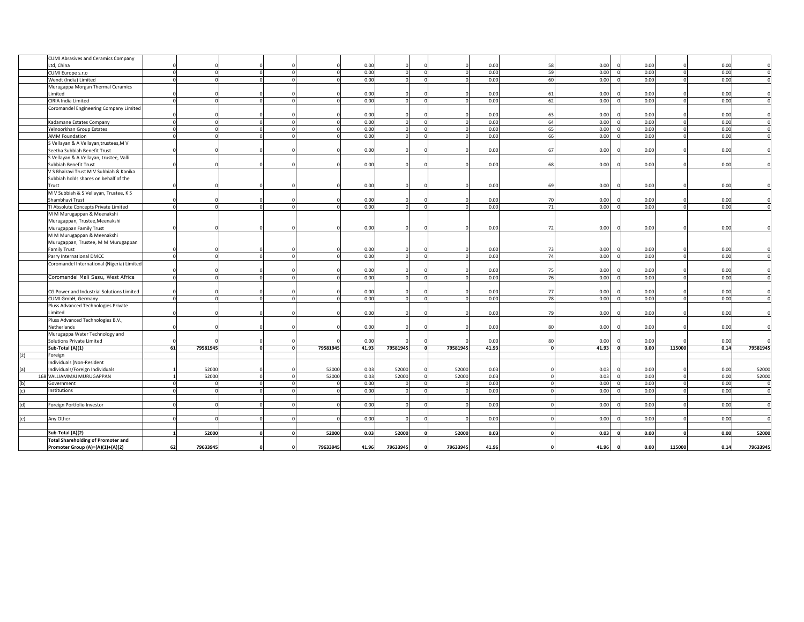|     | <b>CUMI Abrasives and Ceramics Company</b><br>Ltd, China         |                |          |          | 0.00         |          |          |          | 0.00         | -58            | 0.00         | 0.00 |                |                  |
|-----|------------------------------------------------------------------|----------------|----------|----------|--------------|----------|----------|----------|--------------|----------------|--------------|------|----------------|------------------|
|     | CUMI Europe s.r.o                                                | $\Omega$       | $\Omega$ | $\Omega$ | 0.00         |          | $\Omega$ |          | 0.00         | 59             | 0.00         | 0.00 | 0.00<br>0.00   |                  |
|     | Wendt (India) Limited                                            |                |          |          | 0.00         |          |          |          | 0.00         | 60             | 0.00         | 0.00 |                | 0.00             |
|     |                                                                  |                |          |          |              |          |          |          |              |                |              |      |                |                  |
|     | Murugappa Morgan Thermal Ceramics<br>Limited                     |                |          |          | 0.00         |          |          |          | 0.00         | 61             | 0.00         | 0.00 |                | 0.00             |
|     | CIRIA India Limited                                              |                |          |          | 0.00         |          |          |          | 0.00         | 62             | 0.00         | 0.00 |                | 0.00             |
|     | Coromandel Engineering Company Limited                           |                |          |          |              |          |          |          |              |                |              |      |                |                  |
|     |                                                                  |                |          |          | 0.00         |          |          |          | 0.00         | 63             | 0.00         | 0.00 |                | 0.00             |
|     | Kadamane Estates Company                                         |                |          | $\Omega$ | 0.00         |          |          |          | 0.00         | 64             | 0.00         | 0.00 | 0.00           |                  |
|     | Yelnoorkhan Group Estates                                        | $\Omega$       | $\Omega$ | $\Omega$ | 0.00         |          |          |          | 0.00         | 65             | 0.00         | 0.00 | 0.00           |                  |
|     | <b>AMM Foundation</b>                                            |                |          |          | 0.00         |          |          |          | 0.00         | 66             | 0.00         | 0.00 |                | 0.00             |
|     | S Vellayan & A Vellayan, trustees, M V                           |                |          |          |              |          |          |          |              |                |              |      |                |                  |
|     | Seetha Subbiah Benefit Trust                                     |                |          |          | 0.00         |          |          |          | 0.00         | 67             | 0.00         | 0.00 | 0.00           |                  |
|     |                                                                  |                |          |          |              |          |          |          |              |                |              |      |                |                  |
|     | S Vellayan & A Vellayan, trustee, Valli<br>Subbiah Benefit Trust |                |          |          | 0.00         |          |          |          | 0.00         | 68             | 0.00         | 0.00 | 0.00           |                  |
|     | V S Bhairavi Trust M V Subbiah & Kanika                          |                |          |          |              |          |          |          |              |                |              |      |                |                  |
|     |                                                                  |                |          |          |              |          |          |          |              |                |              |      |                |                  |
|     | Subbiah holds shares on behalf of the                            |                |          |          | 0.00         |          |          |          | 0.00         | 69             | 0.00         | 0.00 | 0.00           |                  |
|     | Trust<br>M V Subbiah & S Vellayan, Trustee, K S                  |                |          |          |              |          |          |          |              |                |              |      |                |                  |
|     | Shambhavi Trust                                                  |                |          |          | 0.00         |          |          |          | 0.00         | 70             | 0.00         | 0.00 | 0.00           |                  |
|     | TI Absolute Concepts Private Limited                             | $\Omega$       |          | $\Omega$ | 0.00         |          |          |          | 0.00         | 71             | 0.00         | 0.00 | 0.00           |                  |
|     |                                                                  |                |          |          |              |          |          |          |              |                |              |      |                |                  |
|     | M M Murugappan & Meenakshi                                       |                |          |          |              |          |          |          |              |                |              |      |                |                  |
|     | Murugappan, Trustee, Meenakshi                                   |                |          |          |              |          |          |          |              |                |              |      |                |                  |
|     | Murugappan Family Trust                                          |                |          |          | 0.00         |          |          |          | 0.00         | -72            | 0.00         | 0.00 | 0.00           |                  |
|     | M M Murugappan & Meenakshi                                       |                |          |          |              |          |          |          |              |                |              |      |                |                  |
|     | Murugappan, Trustee, M M Murugappan                              |                |          |          |              |          |          |          |              |                |              |      |                |                  |
|     | <b>Family Trust</b>                                              |                |          |          | 0.00<br>0.00 |          |          |          | 0.00<br>0.00 | - 73<br>74     | 0.00<br>0.00 | 0.00 | 0.00           | 0.00             |
|     | Parry International DMCC                                         |                |          |          |              |          |          |          |              |                |              | 0.00 |                |                  |
|     | Coromandel International (Nigeria) Limited                       |                |          |          | 0.00         |          |          |          | 0.00         | 75             | 0.00         | 0.00 |                | 0.00             |
|     | Coromandel Mali Sasu, West Africa                                |                |          |          | 0.00         |          |          |          | 0.00         | 76             | 0.00         | 0.00 |                | 0.00             |
|     |                                                                  |                |          |          |              |          |          |          |              |                |              |      |                |                  |
|     | CG Power and Industrial Solutions Limited                        |                |          |          | 0.00         |          |          |          | 0.00         | 77             | 0.00         | 0.00 | 0.00           |                  |
|     | CUMI GmbH, Germany                                               |                | $\Omega$ | $\Omega$ | 0.00         |          |          |          | 0.00         | 78             | 0.00         | 0.00 |                | 0.00             |
|     | Pluss Advanced Technologies Private                              |                |          |          |              |          |          |          |              |                |              |      |                |                  |
|     | Limited                                                          |                |          |          | 0.00         |          |          |          | 0.00         | 7 <sup>°</sup> | 0.00         | 0.00 | 0.00           |                  |
|     | Pluss Advanced Technologies B.V.,                                |                |          |          |              |          |          |          |              |                |              |      |                |                  |
|     | Netherlands                                                      |                |          |          | 0.00         |          |          |          | 0.00         | 80             | 0.00         | 0.00 |                | 0.00             |
|     | Murugappa Water Technology and                                   |                |          |          |              |          |          |          |              |                |              |      |                |                  |
|     | Solutions Private Limited                                        |                |          |          | 0.00         |          |          |          | 0.00         | 80             | 0.00         | 0.00 | 0.00           |                  |
|     | Sub-Total (A)(1)                                                 | 61<br>79581945 | ō        | 79581945 | 41.93        | 79581945 |          | 79581945 | 41.93        |                | 41.93        | 0.00 | 115000<br>0.14 | 79581945         |
| (2) | Foreign                                                          |                |          |          |              |          |          |          |              |                |              |      |                |                  |
|     | Individuals (Non-Resident                                        |                |          |          |              |          |          |          |              |                |              |      |                |                  |
|     | Individuals/Foreign Individuals                                  | 52000          |          | 52000    | 0.03         | 52000    |          | 52000    | 0.03         |                | 0.03         | 0.00 | 0.00           | 52000            |
|     | 168 VALLIAMMAI MURUGAPPAN                                        | 52000          | $\Omega$ | 52000    | 0.03         | 52000    |          | 52000    | 0.03         |                | 0.03         | 0.00 |                | 52000<br>0.00    |
|     | Government                                                       |                |          |          | 0.00         |          |          |          | 0.00         |                | 0.00         | 0.00 |                | 0.00             |
|     | Institutions                                                     |                |          | $\Omega$ | 0.00         |          |          |          | 0.00         |                | 0.00         | 0.00 | 0.00           |                  |
|     |                                                                  |                |          |          |              |          |          |          |              |                |              |      |                |                  |
|     | Foreign Portfolio Investor                                       |                |          |          | 0.00         |          |          |          | 0.00         |                | 0.00         | 0.00 |                | 0.00             |
|     |                                                                  |                |          |          |              |          |          |          |              |                |              |      |                |                  |
| (e) | Any Other                                                        |                |          |          | 0.00         |          |          |          | 0.00         |                | 0.00         | 0.00 |                | 0.00             |
|     |                                                                  |                |          |          |              |          |          |          |              |                |              |      |                |                  |
|     | Sub-Total (A)(2)                                                 | 52000          | 0        | 52000    | 0.03         | 52000    |          | 52000    | 0.03         |                | 0.03         | 0.00 |                | 0.00<br>52000    |
|     | <b>Total Shareholding of Promoter and</b>                        |                |          |          |              |          |          |          |              |                |              |      |                |                  |
|     | Promoter Group (A)=(A)(1)+(A)(2)                                 | 62<br>79633945 |          | 79633945 | 41.96        | 79633945 |          | 79633945 | 41.96        |                | 41.96        | 0.00 | 115000         | 0.14<br>79633945 |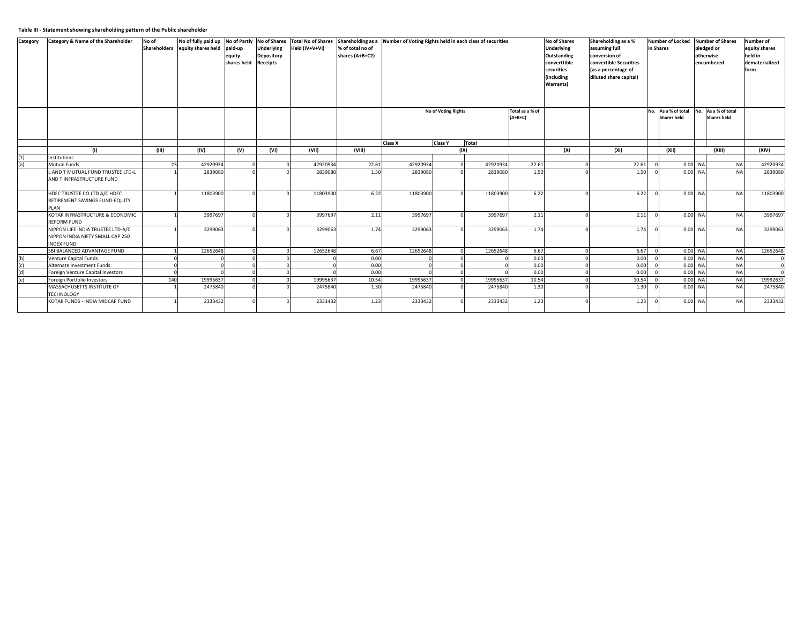## **Table III - Statement showing shareholding pattern of the Public shareholder**

| Category   | Category & Name of the Shareholder                                                         | No of<br><b>Shareholders</b> | No of fully paid up No of Partly No of Shares<br>equity shares held paid-up | equity<br>shares held Receipts | <b>Underlying</b><br><b>Depository</b> | <b>Total No of Shares</b><br>Held (IV+V+VI) | % of total no of<br>shares (A+B+C2) | Shareholding as a Number of Voting Rights held in each class of securities |                            |          |                              | <b>No of Shares</b><br><b>Underlying</b><br>Outstanding<br>converttible<br>securities<br>(Including<br>Warrants) | Shareholding as a %<br>assuming full<br>conversion of<br>convertible Securities<br>(as a percentage of<br>diluted share capital) | Number of Locked Number of Shares<br>in Shares                | pledged or<br>otherwise<br>encumbered | <b>Number of</b><br>equity shares<br>held in<br>dematerialized<br>form |
|------------|--------------------------------------------------------------------------------------------|------------------------------|-----------------------------------------------------------------------------|--------------------------------|----------------------------------------|---------------------------------------------|-------------------------------------|----------------------------------------------------------------------------|----------------------------|----------|------------------------------|------------------------------------------------------------------------------------------------------------------|----------------------------------------------------------------------------------------------------------------------------------|---------------------------------------------------------------|---------------------------------------|------------------------------------------------------------------------|
|            |                                                                                            |                              |                                                                             |                                |                                        |                                             |                                     |                                                                            | <b>No of Voting Rights</b> |          | Total as a % of<br>$(A+B+C)$ |                                                                                                                  |                                                                                                                                  | No. As a % of total No. As a % of total<br><b>Shares held</b> | <b>Shares held</b>                    |                                                                        |
|            |                                                                                            |                              |                                                                             |                                |                                        |                                             |                                     | Class X                                                                    | <b>Class Y</b>             | Total    |                              |                                                                                                                  |                                                                                                                                  |                                                               |                                       |                                                                        |
|            | (1)<br>Institutions                                                                        | (III)                        | (IV)                                                                        | (V)                            | (VI)                                   | (VII)                                       | (VIII)                              |                                                                            | (IX)                       |          |                              | (X)                                                                                                              | (XI)                                                                                                                             | (X  )                                                         | (XIII)                                | (XIV)                                                                  |
| (1)<br>(a) | Mutual Funds                                                                               | 23                           | 42920934                                                                    |                                |                                        | 42920934                                    | 22.61                               | 42920934                                                                   |                            | 42920934 | 22.61                        |                                                                                                                  | 22.61                                                                                                                            | 0.00 NA                                                       | <b>NA</b>                             | 42920934                                                               |
|            | L AND T MUTUAL FUND TRUSTEE LTD-L<br>AND T INFRASTRUCTURE FUND                             |                              | 2839080                                                                     |                                |                                        | 2839080                                     | 1.50                                | 2839080                                                                    |                            | 2839080  | 1.50                         |                                                                                                                  | 1.50                                                                                                                             | 0.00 NA                                                       | <b>NA</b>                             | 2839080                                                                |
|            | HDFC TRUSTEE CO LTD A/C HDFC<br>RETIREMENT SAVINGS FUND-EQUITY<br>PLAN                     |                              | 11803900                                                                    |                                |                                        | 11803900                                    | 6.22                                | 11803900                                                                   |                            | 11803900 | 6.22                         |                                                                                                                  | 6.22                                                                                                                             | 0.00 NA                                                       | <b>NA</b>                             | 11803900                                                               |
|            | KOTAK INFRASTRUCTURE & ECONOMIC<br><b>REFORM FUND</b>                                      |                              | 3997697                                                                     |                                |                                        | 3997697                                     | 2.11                                | 3997697                                                                    |                            | 3997697  | 2.11                         |                                                                                                                  | 2.11                                                                                                                             | 0.00 NA                                                       | <b>NA</b>                             | 3997697                                                                |
|            | NIPPON LIFE INDIA TRUSTEE LTD-A/C<br>NIPPON INDIA NIFTY SMALL CAP 250<br><b>INDEX FUND</b> |                              | 3299063                                                                     |                                |                                        | 3299063                                     | 1.74                                | 3299063                                                                    |                            | 3299063  | 1.74                         |                                                                                                                  | 1.74                                                                                                                             | 0.00 NA                                                       | <b>NA</b>                             | 3299063                                                                |
|            | SBI BALANCED ADVANTAGE FUND                                                                |                              | 12652648                                                                    |                                |                                        | 12652648                                    | 6.67                                | 12652648                                                                   |                            | 12652648 | 6.67                         |                                                                                                                  | 6.67                                                                                                                             | 0.00 NA                                                       | <b>NA</b>                             | 12652648                                                               |
| (b)        | <b>Venture Capital Funds</b>                                                               |                              |                                                                             |                                |                                        |                                             | 0.00                                |                                                                            |                            |          | 0.00                         |                                                                                                                  | 0.00                                                                                                                             | 0.00 NA                                                       | <b>NA</b>                             |                                                                        |
| (c)        | Alternate Investment Funds                                                                 |                              |                                                                             |                                |                                        |                                             | 0.00                                |                                                                            |                            |          | 0.00                         |                                                                                                                  | 0.00                                                                                                                             | 0.00 NA                                                       | <b>NA</b>                             | $\Omega$                                                               |
| (d)        | Foreign Venture Capital Investors                                                          |                              |                                                                             |                                |                                        |                                             | 0.00                                |                                                                            |                            |          | 0.00                         |                                                                                                                  | 0.00                                                                                                                             | 0.00 NA                                                       | <b>NA</b>                             |                                                                        |
| (e)        | Foreign Portfolio Investors                                                                | 140                          | 19995637                                                                    |                                |                                        | 19995637                                    | 10.54                               | 19995637                                                                   |                            | 19995637 | 10.54                        |                                                                                                                  | 10.54                                                                                                                            | 0.00 NA                                                       | <b>NA</b>                             | 19992637                                                               |
|            | MASSACHUSETTS INSTITUTE OF<br><b>TECHNOLOGY</b>                                            |                              | 2475840                                                                     |                                |                                        | 2475840                                     | 1.30                                | 2475840                                                                    |                            | 2475840  | 1.30                         |                                                                                                                  | 1.30                                                                                                                             | $0.00$ NA                                                     | <b>NA</b>                             | 2475840                                                                |
|            | KOTAK FUNDS - INDIA MIDCAP FUND                                                            |                              | 2333432                                                                     |                                |                                        | 2333432                                     | 1.23                                | 2333432                                                                    |                            | 2333432  | 1.23                         |                                                                                                                  | 1.23                                                                                                                             | 0.00 NA                                                       | <b>NA</b>                             | 2333432                                                                |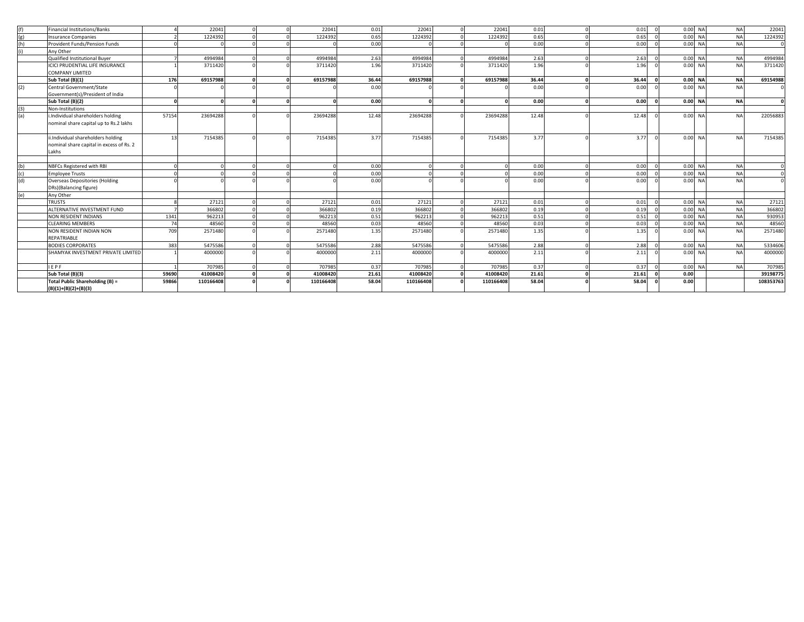| (f)  | Financial Institutions/Banks                                                |       | 22041     |        | 22041     | 0.01  | 22041     | 22041     | 0.01  | 0.01  | $\sqrt{ }$ |         | $0.00$ NA | <b>NA</b> | 22041     |
|------|-----------------------------------------------------------------------------|-------|-----------|--------|-----------|-------|-----------|-----------|-------|-------|------------|---------|-----------|-----------|-----------|
| (g)  | <b>Insurance Companies</b>                                                  |       | 1224392   |        | 1224392   | 0.65  | 1224392   | 1224392   | 0.65  | 0.65  |            |         | 0.00 NA   | <b>NA</b> | 1224392   |
| (h)  | Provident Funds/Pension Funds                                               |       |           |        |           | 0.00  |           |           | 0.00  | 0.00  |            |         | $0.00$ NA | <b>NA</b> |           |
| (ii) | Anv Other                                                                   |       |           |        |           |       |           |           |       |       |            |         |           |           |           |
|      | Qualified Institutional Buver                                               |       | 4994984   |        | 4994984   | 2.63  | 4994984   | 4994984   | 2.63  | 2.63  |            |         | $0.00$ NA | <b>NA</b> | 4994984   |
|      | ICICI PRUDENTIAL LIFE INSURANCE                                             |       | 3711420   |        | 3711420   | 1.96  | 3711420   | 3711420   | 1.96  | 1.96  |            |         | $0.00$ NA | <b>NA</b> | 3711420   |
|      | COMPANY LIMITED                                                             |       |           |        |           |       |           |           |       |       |            |         |           |           |           |
|      | Sub Total (B)(1)                                                            | 176   | 69157988  | ΩI     | 69157988  | 36.44 | 69157988  | 69157988  | 36.44 | 36.44 |            |         | 0.00 NA   | <b>NA</b> | 69154988  |
| (2)  | Central Government/State                                                    |       |           |        |           | 0.00  |           |           | 0.00  | 0.00  |            |         | $0.00$ NA | <b>NA</b> |           |
|      | Government(s)/President of India                                            |       |           |        |           |       |           |           |       |       |            |         |           |           |           |
|      | Sub Total (B)(2)                                                            |       |           | n.     |           | 0.00  |           |           | 0.00  | 0.00  |            |         | 0.00 NA   | <b>NA</b> |           |
| (3)  | Non-Institutions                                                            |       |           |        |           |       |           |           |       |       |            |         |           |           |           |
| (a)  | i.Individual shareholders holding<br>nominal share capital up to Rs.2 lakhs | 57154 | 23694288  |        | 23694288  | 12.48 | 23694288  | 23694288  | 12.48 | 12.48 |            |         | 0.00 NA   | <b>NA</b> | 22056883  |
|      | ii.Individual shareholders holding                                          | 12    | 7154385   |        | 7154385   | 3.77  | 7154385   | 7154385   | 3.77  | 3.77  |            |         | $0.00$ NA | <b>NA</b> | 7154385   |
|      | nominal share capital in excess of Rs. 2<br>Lakhs                           |       |           |        |           |       |           |           |       |       |            |         |           |           |           |
|      |                                                                             |       |           |        |           |       |           |           |       |       |            |         |           |           |           |
| (b)  | NBFCs Registered with RBI                                                   |       |           |        |           | 0.00  |           |           | 0.00  | 0.00  |            |         | $0.00$ NA | <b>NA</b> |           |
| (c)  | <b>Employee Trusts</b>                                                      |       |           |        |           | 0.00  |           |           | 0.00  | 0.00  |            |         | $0.00$ NA | <b>NA</b> |           |
| (d)  | Overseas Depositories (Holding                                              |       |           |        |           | 0.00  |           |           | 0.00  | 0.00  |            |         | $0.00$ NA | <b>NA</b> |           |
|      | DRs)(Balancing figure)                                                      |       |           |        |           |       |           |           |       |       |            |         |           |           |           |
| (e)  | Any Other                                                                   |       |           |        |           |       |           |           |       |       |            |         |           |           |           |
|      | <b>TRUSTS</b>                                                               |       | 27121     | $\sim$ | 27121     | 0.01  | 27121     | 27121     | 0.01  | 0.01  |            |         | 0.00 NA   | <b>NA</b> | 27121     |
|      | ALTERNATIVE INVESTMENT FUND                                                 |       | 366802    |        | 366802    | 0.19  | 366802    | 366802    | 0.19  | 0.19  |            | 0.00 NA |           | <b>NA</b> | 366802    |
|      | NON RESIDENT INDIANS                                                        | 1341  | 962213    |        | 962213    | 0.51  | 962213    | 962213    | 0.51  | 0.51  |            |         | 0.00 NA   | <b>NA</b> | 930953    |
|      | <b>CLEARING MEMBERS</b>                                                     | 74    | 48560     |        | 48560     | 0.03  | 48560     | 48560     | 0.03  | 0.03  |            |         | 0.00 NA   | <b>NA</b> | 48560     |
|      | NON RESIDENT INDIAN NON<br>REPATRIABLE                                      | 709   | 2571480   |        | 2571480   | 1.35  | 2571480   | 2571480   | 1.35  | 1.35  |            |         | 0.00 NA   | <b>NA</b> | 2571480   |
|      | <b>BODIES CORPORATES</b>                                                    | 383   | 5475586   |        | 5475586   | 2.88  | 5475586   | 5475586   | 2.88  | 2.88  |            |         | 0.00 NA   | <b>NA</b> | 5334606   |
|      | SHAMYAK INVESTMENT PRIVATE LIMITED                                          |       | 4000000   |        | 4000000   | 2.11  | 4000000   | 4000000   | 2.11  | 2.11  |            |         | $0.00$ NA | <b>NA</b> | 4000000   |
|      | <b>IEPF</b>                                                                 |       | 707985    |        | 707985    | 0.37  | 707985    | 707985    | 0.37  | 0.37  |            |         | 0.00 NA   | <b>NA</b> | 707985    |
|      | Sub Total (B)(3)                                                            | 59690 | 41008420  |        | 41008420  | 21.61 | 41008420  | 41008420  | 21.61 | 21.61 |            | 0.00    |           |           | 39198775  |
|      | Total Public Shareholding (B) =<br>$(B)(1)+(B)(2)+(B)(3)$                   | 59866 | 110166408 |        | 110166408 | 58.04 | 110166408 | 110166408 | 58.04 | 58.04 |            | 0.00    |           |           | 108353763 |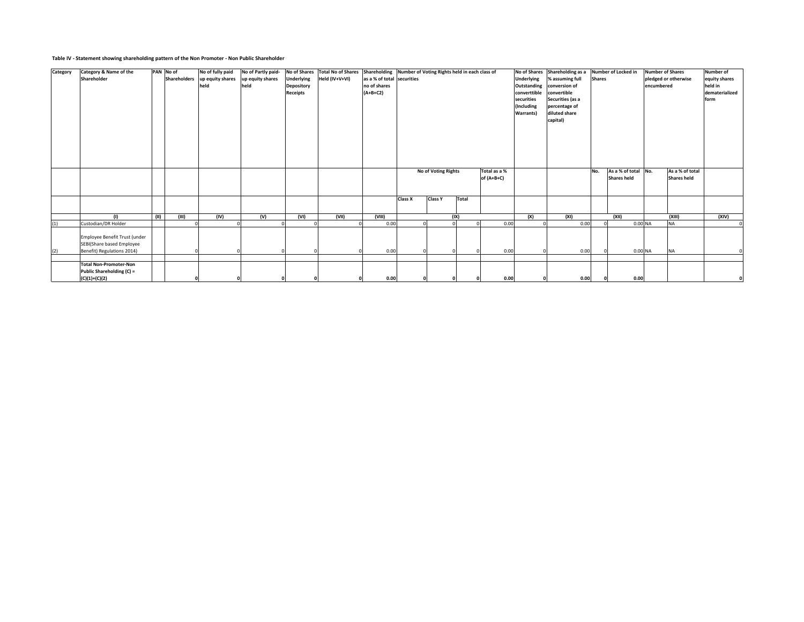### **Table IV - Statement showing shareholding pattern of the Non Promoter - Non Public Shareholder**

| Category | Category & Name of the                                     |      | PAN No of | No of fully paid              | No of Partly paid- | No of Shares      | Total No of Shares Shareholding Number of Voting Rights held in each class of |                            |                |                         |          |              | No of Shares     | Shareholding as a |               | Number of Locked in |            | <b>Number of Shares</b> | <b>Number of</b> |
|----------|------------------------------------------------------------|------|-----------|-------------------------------|--------------------|-------------------|-------------------------------------------------------------------------------|----------------------------|----------------|-------------------------|----------|--------------|------------------|-------------------|---------------|---------------------|------------|-------------------------|------------------|
|          | Shareholder                                                |      |           | Shareholders up equity shares | up equity shares   | <b>Underlying</b> | Held (IV+V+VI)                                                                | as a % of total securities |                |                         |          |              | Underlying       | % assuming full   | <b>Shares</b> |                     |            | pledged or otherwise    | equity shares    |
|          |                                                            |      |           | held                          | held               | Depository        |                                                                               | no of shares               |                |                         |          |              | Outstanding      | conversion of     |               |                     | encumbered |                         | held in          |
|          |                                                            |      |           |                               |                    | <b>Receipts</b>   |                                                                               | $(A+B+C2)$                 |                |                         |          |              | converttible     | convertible       |               |                     |            |                         | dematerialized   |
|          |                                                            |      |           |                               |                    |                   |                                                                               |                            |                |                         |          |              | securities       | Securities (as a  |               |                     |            |                         | form             |
|          |                                                            |      |           |                               |                    |                   |                                                                               |                            |                |                         |          |              | (Including       | percentage of     |               |                     |            |                         |                  |
|          |                                                            |      |           |                               |                    |                   |                                                                               |                            |                |                         |          |              | <b>Warrants)</b> | diluted share     |               |                     |            |                         |                  |
|          |                                                            |      |           |                               |                    |                   |                                                                               |                            |                |                         |          |              |                  | capital)          |               |                     |            |                         |                  |
|          |                                                            |      |           |                               |                    |                   |                                                                               |                            |                |                         |          |              |                  |                   |               |                     |            |                         |                  |
|          |                                                            |      |           |                               |                    |                   |                                                                               |                            |                |                         |          |              |                  |                   |               |                     |            |                         |                  |
|          |                                                            |      |           |                               |                    |                   |                                                                               |                            |                |                         |          |              |                  |                   |               |                     |            |                         |                  |
|          |                                                            |      |           |                               |                    |                   |                                                                               |                            |                |                         |          |              |                  |                   |               |                     |            |                         |                  |
|          |                                                            |      |           |                               |                    |                   |                                                                               |                            |                |                         |          |              |                  |                   |               |                     |            |                         |                  |
|          |                                                            |      |           |                               |                    |                   |                                                                               |                            |                |                         |          |              |                  |                   |               |                     |            |                         |                  |
|          |                                                            |      |           |                               |                    |                   |                                                                               |                            |                | No of Voting Rights     |          | Total as a % |                  |                   | No.           | As a % of total No. |            | As a % of total         |                  |
|          |                                                            |      |           |                               |                    |                   |                                                                               |                            |                |                         |          | of $(A+B+C)$ |                  |                   |               | <b>Shares held</b>  |            | <b>Shares held</b>      |                  |
|          |                                                            |      |           |                               |                    |                   |                                                                               |                            |                |                         |          |              |                  |                   |               |                     |            |                         |                  |
|          |                                                            |      |           |                               |                    |                   |                                                                               |                            |                |                         |          |              |                  |                   |               |                     |            |                         |                  |
|          |                                                            |      |           |                               |                    |                   |                                                                               |                            | <b>Class X</b> | <b>Class Y</b><br>Total |          |              |                  |                   |               |                     |            |                         |                  |
|          |                                                            |      |           |                               |                    |                   |                                                                               |                            |                |                         |          |              |                  |                   |               |                     |            |                         |                  |
|          |                                                            |      |           |                               |                    |                   |                                                                               |                            |                |                         |          |              |                  |                   |               |                     |            |                         |                  |
|          | (1)                                                        | (11) | (III)     | (IV)                          | (V)                | (VI)              | (VII)                                                                         | (VIII)<br>0.00             |                | (IX)                    | $\Omega$ |              | (X)              | (XI)              |               | (XII)               |            | (XIII)<br><b>NA</b>     | (XIV)            |
| (1)      | Custodian/DR Holder                                        |      |           |                               |                    |                   |                                                                               |                            |                |                         |          | 0.00         |                  | 0.00              |               | 0.00 NA             |            |                         | $^{\circ}$       |
|          |                                                            |      |           |                               |                    |                   |                                                                               |                            |                |                         |          |              |                  |                   |               |                     |            |                         |                  |
|          | Employee Benefit Trust (under<br>SEBI(Share based Employee |      |           |                               |                    |                   |                                                                               |                            |                |                         |          |              |                  |                   |               |                     |            |                         |                  |
|          |                                                            |      |           |                               |                    |                   |                                                                               |                            |                |                         |          |              |                  |                   |               |                     |            | <b>NA</b>               |                  |
| (2)      | Benefit) Regulations 2014)                                 |      |           |                               |                    |                   |                                                                               | 0.00                       |                |                         |          | 0.00         |                  | 0.00              |               |                     | $0.00$ NA  |                         | $^{\circ}$       |
|          | <b>Total Non-Promoter-Non</b>                              |      |           |                               |                    |                   |                                                                               |                            |                |                         |          |              |                  |                   |               |                     |            |                         |                  |
|          | Public Shareholding (C) =                                  |      |           |                               |                    |                   |                                                                               |                            |                |                         |          |              |                  |                   |               |                     |            |                         |                  |
|          | (C)(1)+(C)(2)                                              |      |           |                               |                    | $\Omega$          |                                                                               | 0.00                       |                |                         |          | 0.00         |                  | 0.00              |               | 0.00                |            |                         |                  |
|          |                                                            |      |           |                               |                    |                   |                                                                               |                            |                |                         |          |              |                  |                   |               |                     |            |                         |                  |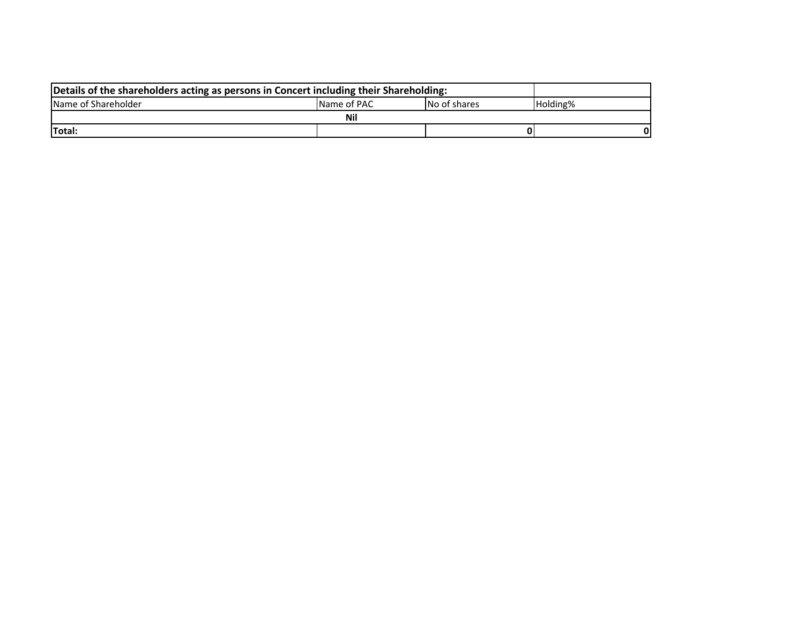| Details of the shareholders acting as persons in Concert including their Shareholding: |             |              |          |  |
|----------------------------------------------------------------------------------------|-------------|--------------|----------|--|
| Name of Shareholder                                                                    | Name of PAC | No of shares | Holding% |  |
|                                                                                        | <b>Nil</b>  |              |          |  |
| Total:                                                                                 |             |              |          |  |